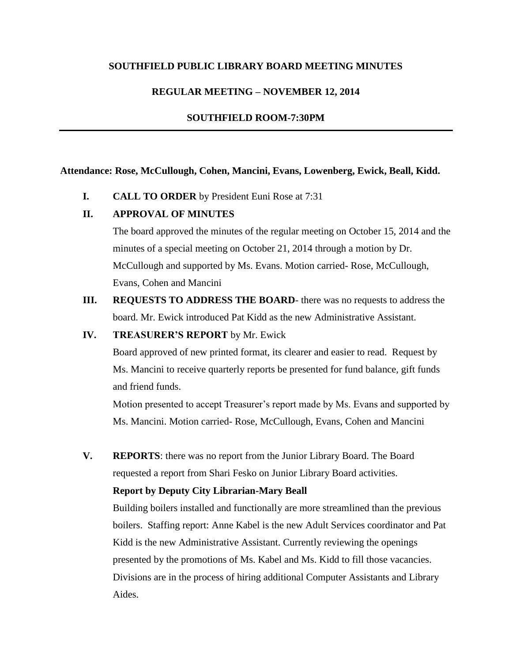## **SOUTHFIELD PUBLIC LIBRARY BOARD MEETING MINUTES**

## **REGULAR MEETING – NOVEMBER 12, 2014**

### **SOUTHFIELD ROOM-7:30PM**

#### **Attendance: Rose, McCullough, Cohen, Mancini, Evans, Lowenberg, Ewick, Beall, Kidd.**

**I. CALL TO ORDER** by President Euni Rose at 7:31

## **II. APPROVAL OF MINUTES**

The board approved the minutes of the regular meeting on October 15, 2014 and the minutes of a special meeting on October 21, 2014 through a motion by Dr. McCullough and supported by Ms. Evans. Motion carried- Rose, McCullough, Evans, Cohen and Mancini

**III. REQUESTS TO ADDRESS THE BOARD**- there was no requests to address the board. Mr. Ewick introduced Pat Kidd as the new Administrative Assistant.

### **IV. TREASURER'S REPORT** by Mr. Ewick

Board approved of new printed format, its clearer and easier to read. Request by Ms. Mancini to receive quarterly reports be presented for fund balance, gift funds and friend funds.

Motion presented to accept Treasurer's report made by Ms. Evans and supported by Ms. Mancini. Motion carried- Rose, McCullough, Evans, Cohen and Mancini

**V. REPORTS**: there was no report from the Junior Library Board. The Board requested a report from Shari Fesko on Junior Library Board activities.

#### **Report by Deputy City Librarian-Mary Beall**

Building boilers installed and functionally are more streamlined than the previous boilers. Staffing report: Anne Kabel is the new Adult Services coordinator and Pat Kidd is the new Administrative Assistant. Currently reviewing the openings presented by the promotions of Ms. Kabel and Ms. Kidd to fill those vacancies. Divisions are in the process of hiring additional Computer Assistants and Library Aides.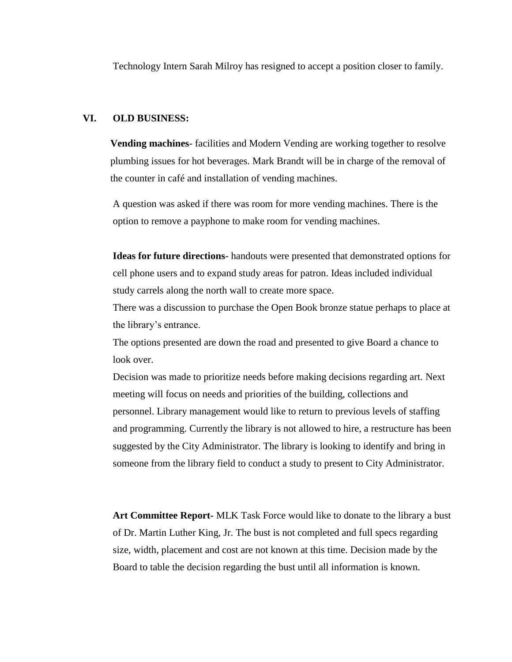Technology Intern Sarah Milroy has resigned to accept a position closer to family.

### **VI. OLD BUSINESS:**

**Vending machines**- facilities and Modern Vending are working together to resolve plumbing issues for hot beverages. Mark Brandt will be in charge of the removal of the counter in café and installation of vending machines.

A question was asked if there was room for more vending machines. There is the option to remove a payphone to make room for vending machines.

**Ideas for future directions**- handouts were presented that demonstrated options for cell phone users and to expand study areas for patron. Ideas included individual study carrels along the north wall to create more space.

There was a discussion to purchase the Open Book bronze statue perhaps to place at the library's entrance.

The options presented are down the road and presented to give Board a chance to look over.

Decision was made to prioritize needs before making decisions regarding art. Next meeting will focus on needs and priorities of the building, collections and personnel. Library management would like to return to previous levels of staffing and programming. Currently the library is not allowed to hire, a restructure has been suggested by the City Administrator. The library is looking to identify and bring in someone from the library field to conduct a study to present to City Administrator.

**Art Committee Report-** MLK Task Force would like to donate to the library a bust of Dr. Martin Luther King, Jr. The bust is not completed and full specs regarding size, width, placement and cost are not known at this time. Decision made by the Board to table the decision regarding the bust until all information is known.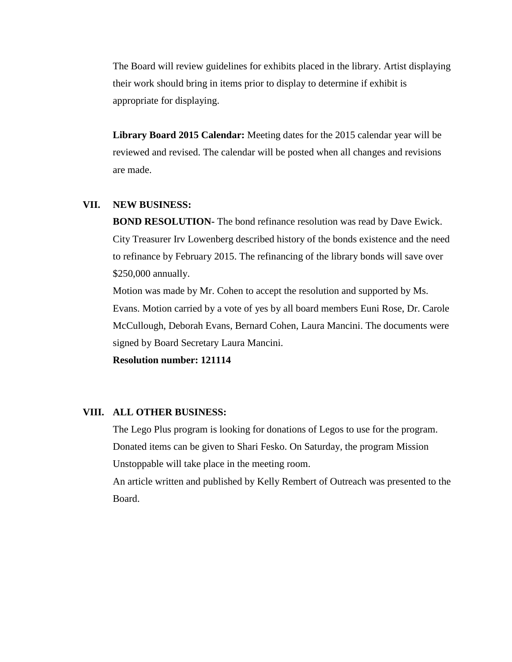The Board will review guidelines for exhibits placed in the library. Artist displaying their work should bring in items prior to display to determine if exhibit is appropriate for displaying.

**Library Board 2015 Calendar:** Meeting dates for the 2015 calendar year will be reviewed and revised. The calendar will be posted when all changes and revisions are made.

## **VII. NEW BUSINESS:**

**BOND RESOLUTION-** The bond refinance resolution was read by Dave Ewick. City Treasurer Irv Lowenberg described history of the bonds existence and the need to refinance by February 2015. The refinancing of the library bonds will save over \$250,000 annually.

Motion was made by Mr. Cohen to accept the resolution and supported by Ms. Evans. Motion carried by a vote of yes by all board members Euni Rose, Dr. Carole McCullough, Deborah Evans, Bernard Cohen, Laura Mancini. The documents were signed by Board Secretary Laura Mancini.

**Resolution number: 121114**

#### **VIII. ALL OTHER BUSINESS:**

The Lego Plus program is looking for donations of Legos to use for the program. Donated items can be given to Shari Fesko. On Saturday, the program Mission Unstoppable will take place in the meeting room.

An article written and published by Kelly Rembert of Outreach was presented to the Board.